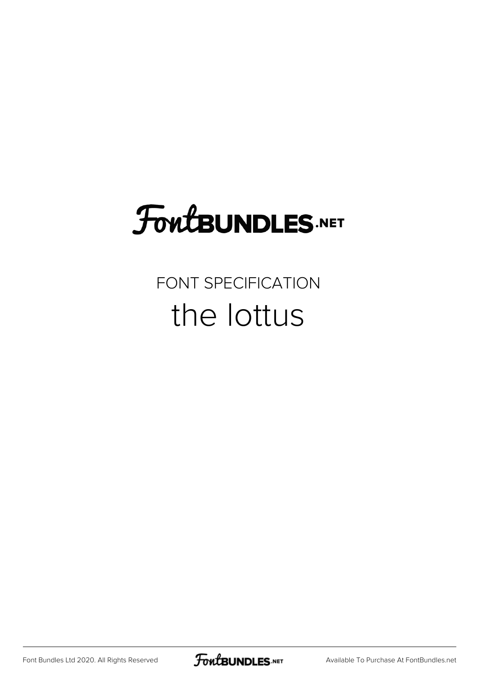# **FoutBUNDLES.NET**

### FONT SPECIFICATION the lottus

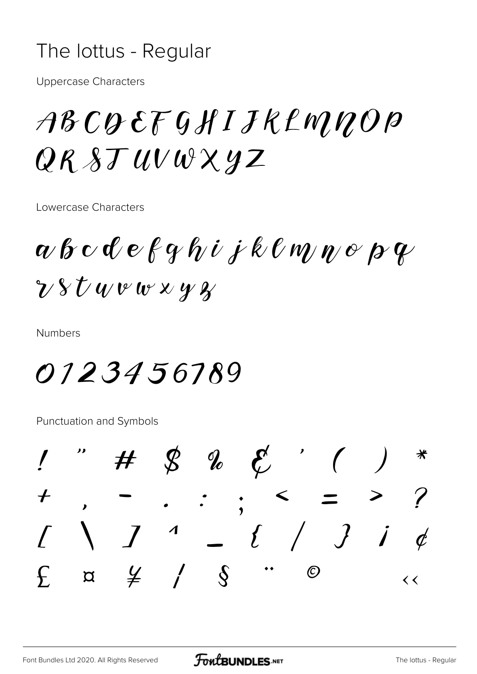#### The lottus - Regular

**Uppercase Characters** 

## ABCQEFGHIJKLMNOP  $QRSTUVWXYZ$

Lowercase Characters

 $a$   $b$   $c$   $d$   $e$   $f$   $q$   $h$   $i$   $j$   $k$   $\ell$   $m$   $n$   $e$   $p$   $q$  $\gamma$   $\gamma$   $\gamma$   $\alpha$   $\psi$   $\alpha$   $\gamma$   $\gamma$ 

**Numbers** 

## 0123456789

Punctuation and Symbols

 $\begin{array}{ccc} \mathcal{B} & \mathcal{U} & \mathcal{E} \end{array}$  $\bm{\mathcal{H}}$  $\boldsymbol{+}$  $\boldsymbol{J}$  $-$  {  $/$  } i  $\overline{\mathcal{L}}$  $\overline{d}$  $\frac{y}{2}$  /  $\sqrt{8}$  $\bigcirc$  $\int$  $\alpha$  $\lt\lt$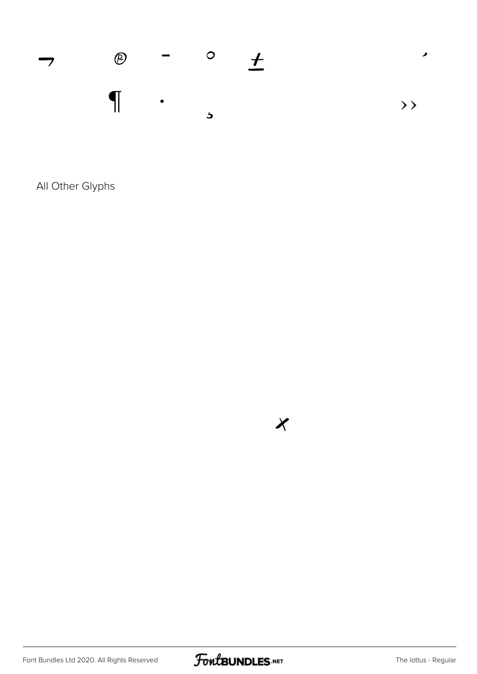

All Other Glyphs

Font Bundles Ltd 2020. All Rights Reserved



 $\chi$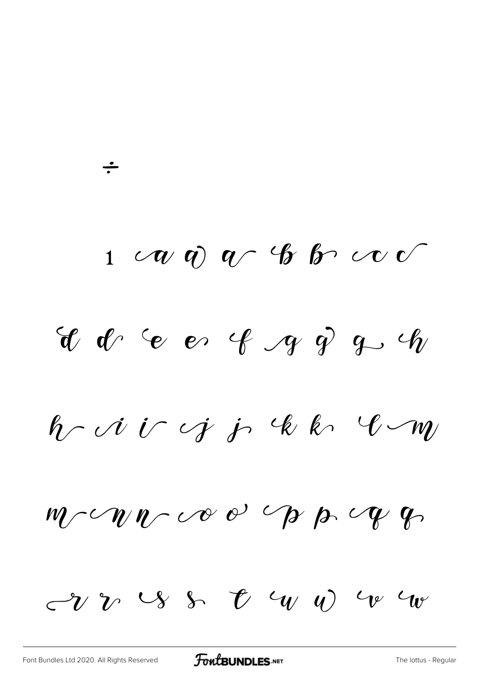$1 \quad \text{or} \quad \text{or} \quad \text{or} \quad \text{or} \quad \text{or} \quad \text{or} \quad \text{or} \quad \text{or} \quad \text{or} \quad \text{or} \quad \text{or} \quad \text{or} \quad \text{or} \quad \text{or} \quad \text{or} \quad \text{or} \quad \text{or} \quad \text{or} \quad \text{or} \quad \text{or} \quad \text{or} \quad \text{or} \quad \text{or} \quad \text{or} \quad \text{or} \quad \text{or} \quad \text{or} \quad \text{or} \quad \text{or} \quad \text{or} \quad \text{or} \quad$  $^{\circ}$   $^{\circ}$   $^{\circ}$   $^{\circ}$   $^{\circ}$   $^{\circ}$   $^{\circ}$   $^{\circ}$   $^{\circ}$   $^{\circ}$   $^{\circ}$   $^{\circ}$   $^{\circ}$   $^{\circ}$   $^{\circ}$   $^{\circ}$   $^{\circ}$   $^{\circ}$   $^{\circ}$   $^{\circ}$   $^{\circ}$   $^{\circ}$   $^{\circ}$   $^{\circ}$   $^{\circ}$   $^{\circ}$   $^{\circ}$   $^{\circ}$   $^{\circ}$   $^{\circ}$   $^{\circ}$   $^{\circ$  $h\sim$   $i\in$   $j\in$   $k$   $k\in$   $\ell$  $w_1 \sim w_2 \sim w_3$  or  $w_4$  $-v$  v  $\vee$  s  $v$   $\vee$   $\vee$   $\vee$   $\vee$   $\vee$   $\vee$ 

÷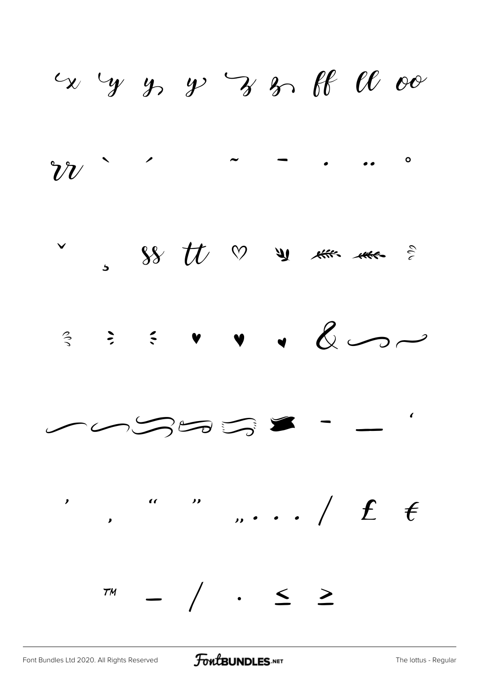$x$  by y y y y s of  $\ell\ell$  or





FontBUNDLES.NET